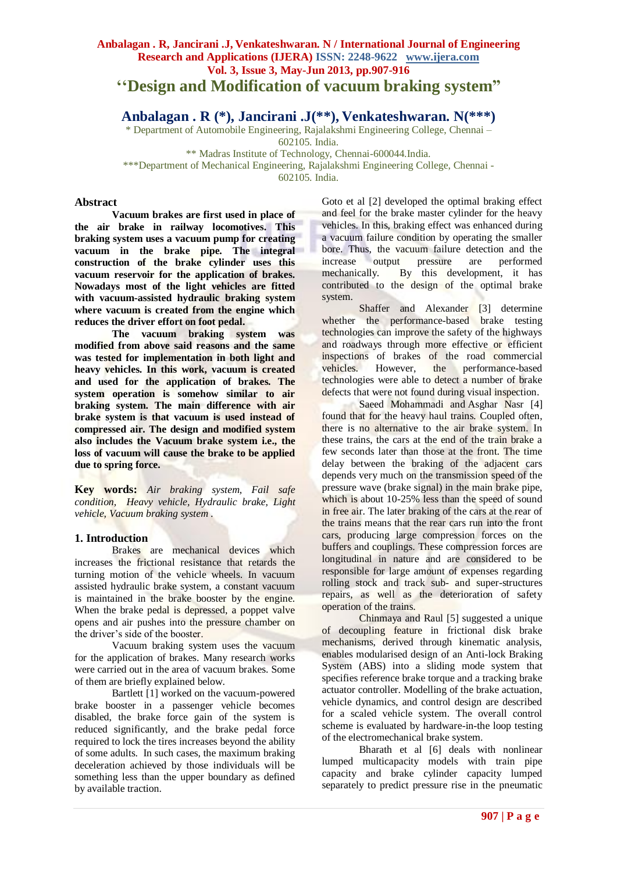# **''Design and Modification of vacuum braking system"**

**Anbalagan . R (\*), Jancirani .J(\*\*), Venkateshwaran. N(\*\*\*)**

\* Department of Automobile Engineering, Rajalakshmi Engineering College, Chennai – 602105. India.

\*\* Madras Institute of Technology, Chennai-600044.India. \*\*\*Department of Mechanical Engineering, Rajalakshmi Engineering College, Chennai - 602105. India.

## **Abstract**

**Vacuum brakes are first used in place of the air brake in railway locomotives. This braking system uses a vacuum pump for creating vacuum in the brake pipe. The integral construction of the brake cylinder uses this vacuum reservoir for the application of brakes. Nowadays most of the light vehicles are fitted with vacuum-assisted hydraulic braking system where vacuum is created from the engine which reduces the driver effort on foot pedal.**

**The vacuum braking system was modified from above said reasons and the same was tested for implementation in both light and heavy vehicles. In this work, vacuum is created and used for the application of brakes. The system operation is somehow similar to air braking system. The main difference with air brake system is that vacuum is used instead of compressed air. The design and modified system also includes the Vacuum brake system i.e., the loss of vacuum will cause the brake to be applied due to spring force.**

**Key words:** *Air braking system, Fail safe condition, Heavy vehicle, Hydraulic brake, Light vehicle, Vacuum braking system .*

## **1. Introduction**

Brakes are mechanical devices which increases the frictional resistance that retards the turning motion of the vehicle wheels. In vacuum assisted hydraulic brake system, a constant vacuum is maintained in the brake booster by the engine. When the brake pedal is depressed, a poppet valve opens and air pushes into the pressure chamber on the driver's side of the booster.

Vacuum braking system uses the vacuum for the application of brakes. Many research works were carried out in the area of vacuum brakes. Some of them are briefly explained below.

Bartlett [1] worked on the vacuum-powered brake booster in a passenger vehicle becomes disabled, the brake force gain of the system is reduced significantly, and the brake pedal force required to lock the tires increases beyond the ability of some adults. In such cases, the maximum braking deceleration achieved by those individuals will be something less than the upper boundary as defined by available traction.

Goto et al [2] developed the optimal braking effect and feel for the brake master cylinder for the heavy vehicles. In this, braking effect was enhanced during a vacuum failure condition by operating the smaller bore. Thus, the vacuum failure detection and the increase output pressure are performed mechanically. By this development, it has contributed to the design of the optimal brake system.

Shaffer and Alexander [3] determine whether the performance-based brake testing technologies can improve the safety of the highways and roadways through more effective or efficient inspections of brakes of the road commercial<br>vehicles. However, the performance-based vehicles. However, the performance-based technologies were able to detect a number of brake defects that were not found during visual inspection.

[Saeed Mohammadi](http://www.inderscience.com/dev/search/index.php?action=basic&wf=author&year1=1992&year2=2012&o=2&q=Saeed%20Mohammadi) and [Asghar Nasr](http://www.inderscience.com/dev/search/index.php?action=basic&wf=author&year1=1992&year2=2012&o=2&q=%20Asghar%20Nasr) [4] found that for the heavy haul trains. Coupled often, there is no alternative to the air brake system. In these trains, the cars at the end of the train brake a few seconds later than those at the front. The time delay between the braking of the adjacent cars depends very much on the transmission speed of the pressure wave (brake signal) in the main brake pipe, which is about 10-25% less than the speed of sound in free air. The later braking of the cars at the rear of the trains means that the rear cars run into the front cars, producing large compression forces on the buffers and couplings. These compression forces are longitudinal in nature and are considered to be responsible for large amount of expenses regarding rolling stock and track sub- and super-structures repairs, as well as the deterioration of safety operation of the trains.

Chinmaya and Raul [5] suggested a unique of decoupling feature in frictional disk brake mechanisms, derived through kinematic analysis, enables modularised design of an Anti-lock Braking System (ABS) into a sliding mode system that specifies reference brake torque and a tracking brake actuator controller. Modelling of the brake actuation, vehicle dynamics, and control design are described for a scaled vehicle system. The overall control scheme is evaluated by hardware-in-the loop testing of the electromechanical brake system.

Bharath et al [6] deals with nonlinear lumped multicapacity models with train pipe capacity and brake cylinder capacity lumped separately to predict pressure rise in the pneumatic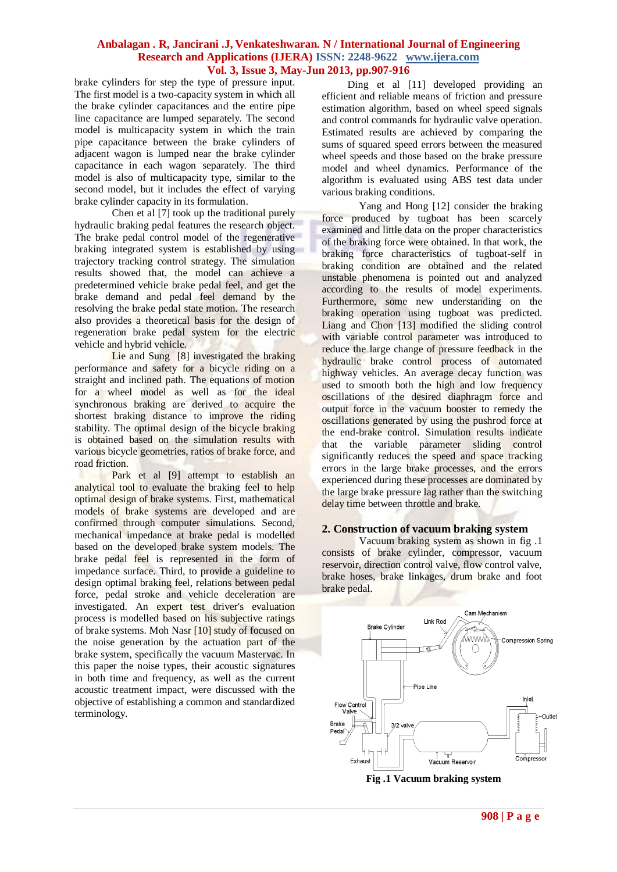brake cylinders for step the type of pressure input. The first model is a two-capacity system in which all the brake cylinder capacitances and the entire pipe line capacitance are lumped separately. The second model is multicapacity system in which the train pipe capacitance between the brake cylinders of adjacent wagon is lumped near the brake cylinder capacitance in each wagon separately. The third model is also of multicapacity type, similar to the second model, but it includes the effect of varying brake cylinder capacity in its formulation.

[Chen](http://www.inderscience.com/dev/search/index.php?action=basic&wf=author&year1=1992&year2=2012&o=2&q=Qingzhang%20Chen) et al [7] took up the traditional purely hydraulic braking pedal features the research object. The brake pedal control model of the regenerative braking integrated system is established by using trajectory tracking control strategy. The simulation results showed that, the model can achieve a predetermined vehicle brake pedal feel, and get the brake demand and pedal feel demand by the resolving the brake pedal state motion. The research also provides a theoretical basis for the design of regeneration brake pedal system for the electric vehicle and hybrid vehicle.

Lie and Sung [8] investigated the braking performance and safety for a bicycle riding on a straight and inclined path. The equations of motion for a wheel model as well as for the ideal synchronous braking are derived to acquire the shortest braking distance to improve the riding stability. The optimal design of the bicycle braking is obtained based on the simulation results with various bicycle geometries, ratios of brake force, and road friction.

[Park](http://www.inderscience.com/dev/search/index.php?action=basic&wf=author&year1=1992&year2=2012&o=2&q=Shinsuk%20Park) et al [9] attempt to establish an analytical tool to evaluate the braking feel to help optimal design of brake systems. First, mathematical models of brake systems are developed and are confirmed through computer simulations. Second, mechanical impedance at brake pedal is modelled based on the developed brake system models. The brake pedal feel is represented in the form of impedance surface. Third, to provide a guideline to design optimal braking feel, relations between pedal force, pedal stroke and vehicle deceleration are investigated. An expert test driver's evaluation process is modelled based on his subjective ratings of brake systems. [Moh Nasr \[](http://www.inderscience.com/dev/search/index.php?action=basic&wf=author&year1=1992&year2=2012&o=2&q=Moh%20Nasr)10] study of focused on the noise generation by the actuation part of the brake system, specifically the vacuum Mastervac. In this paper the noise types, their acoustic signatures in both time and frequency, as well as the current acoustic treatment impact, were discussed with the objective of establishing a common and standardized terminology.

Ding et al [11] developed providing an efficient and reliable means of friction and pressure estimation algorithm, based on wheel speed signals and control commands for hydraulic valve operation. Estimated results are achieved by comparing the sums of squared speed errors between the measured wheel speeds and those based on the brake pressure model and wheel dynamics. Performance of the algorithm is evaluated using ABS test data under various braking conditions.

Yang and Hong [12] consider the braking force produced by tugboat has been scarcely examined and little data on the proper characteristics of the braking force were obtained. In that work, the braking force characteristics of tugboat-self in braking condition are obtained and the related unstable phenomena is pointed out and analyzed according to the results of model experiments. Furthermore, some new understanding on the braking operation using tugboat was predicted. Liang and Chon [13] modified the sliding control with variable control parameter was introduced to reduce the large change of pressure feedback in the hydraulic brake control process of automated highway vehicles. An average decay function was used to smooth both the high and low frequency oscillations of the desired diaphragm force and output force in the vacuum booster to remedy the oscillations generated by using the pushrod force at the end-brake control. Simulation results indicate that the variable parameter sliding control significantly reduces the speed and space tracking errors in the large brake processes, and the errors experienced during these processes are dominated by the large brake pressure lag rather than the switching delay time between throttle and brake.

#### **2. Construction of vacuum braking system**

Vacuum braking system as shown in fig .1 consists of brake cylinder, compressor, vacuum reservoir, direction control valve, flow control valve, brake hoses, brake linkages, drum brake and foot brake pedal.

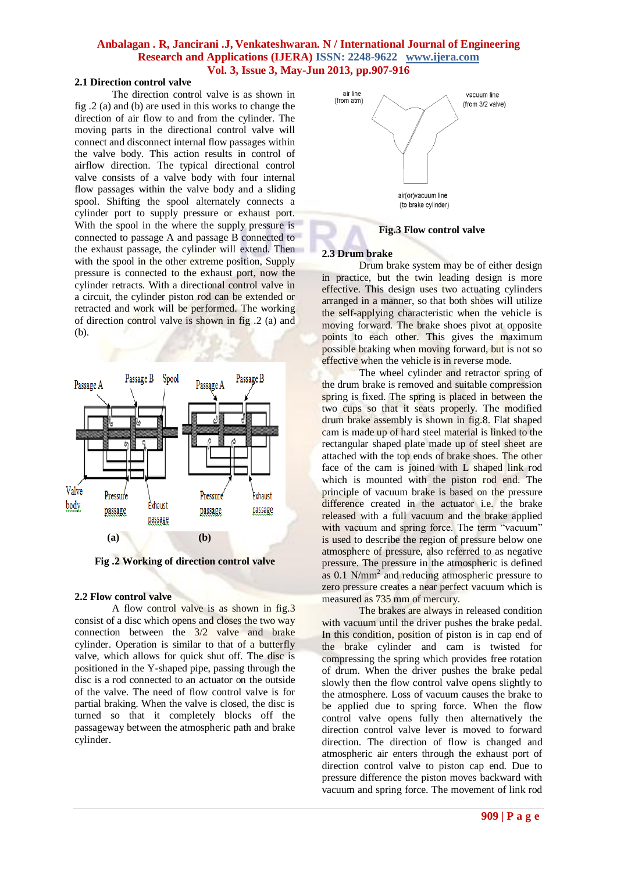## **2.1 Direction control valve**

The direction control valve is as shown in fig .2 (a) and (b) are used in this works to change the direction of air flow to and from the cylinder. The moving parts in the directional control valve will connect and disconnect internal flow passages within the valve body. This action results in control of airflow direction. The typical directional control valve consists of a valve body with four internal flow passages within the valve body and a sliding spool. Shifting the spool alternately connects a cylinder port to supply pressure or exhaust port. With the spool in the where the supply pressure is connected to passage A and passage B connected to the exhaust passage, the cylinder will extend. Then with the spool in the other extreme position, Supply pressure is connected to the exhaust port, now the cylinder retracts. With a directional control valve in a circuit, the cylinder piston rod can be extended or retracted and work will be performed. The working of direction control valve is shown in fig .2 (a) and (b).



**Fig .2 Working of direction control valve**

#### **2.2 Flow control valve**

A flow control valve is as shown in fig.3 consist of a disc which opens and closes the two way connection between the 3/2 valve and brake cylinder. Operation is similar to that of a butterfly valve, which allows for quick shut off. The disc is positioned in the Y-shaped pipe, passing through the disc is a rod connected to an actuator on the outside of the valve. The need of flow control valve is for partial braking. When the valve is closed, the disc is turned so that it completely blocks off the passageway between the atmospheric path and brake cylinder.



#### **Fig.3 Flow control valve**

#### **2.3 Drum brake**

Drum brake system may be of either design in practice, but the twin leading design is more effective. This design uses two actuating cylinders arranged in a manner, so that both shoes will utilize the self-applying characteristic when the vehicle is moving forward. The brake shoes pivot at opposite points to each other. This gives the maximum possible braking when moving forward, but is not so effective when the vehicle is in reverse mode.

The wheel cylinder and retractor spring of the drum brake is removed and suitable compression spring is fixed. The spring is placed in between the two cups so that it seats properly. The modified drum brake assembly is shown in fig.8. Flat shaped cam is made up of hard steel material is linked to the rectangular shaped plate made up of steel sheet are attached with the top ends of brake shoes. The other face of the cam is joined with L shaped link rod which is mounted with the piston rod end. The principle of vacuum brake is based on the pressure difference created in the actuator i.e. the brake released with a full vacuum and the brake applied with vacuum and spring force. The term "vacuum" is used to describe the region of pressure below one atmosphere of pressure, also referred to as negative pressure. The pressure in the atmospheric is defined as 0.1 N/mm<sup>2</sup> and reducing atmospheric pressure to zero pressure creates a near perfect vacuum which is measured as 735 mm of mercury.

The brakes are always in released condition with vacuum until the driver pushes the brake pedal. In this condition, position of piston is in cap end of the brake cylinder and cam is twisted for compressing the spring which provides free rotation of drum. When the driver pushes the brake pedal slowly then the flow control valve opens slightly to the atmosphere. Loss of vacuum causes the brake to be applied due to spring force. When the flow control valve opens fully then alternatively the direction control valve lever is moved to forward direction. The direction of flow is changed and atmospheric air enters through the exhaust port of direction control valve to piston cap end. Due to pressure difference the piston moves backward with vacuum and spring force. The movement of link rod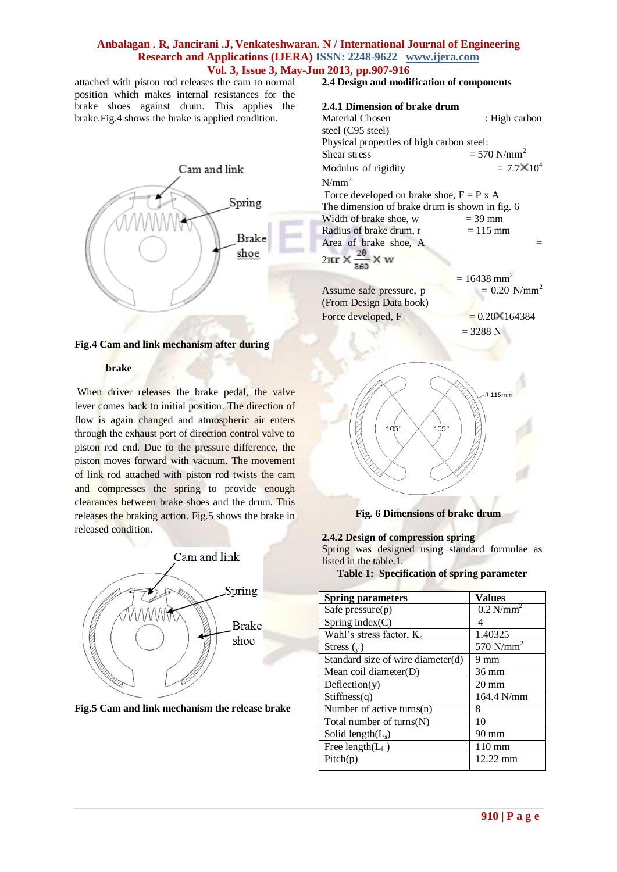attached with piston rod releases the cam to normal position which makes internal resistances for the brake shoes against drum. This applies the brake.Fig.4 shows the brake is applied condition.



**Fig.4 Cam and link mechanism after during** 

#### **brake**

When driver releases the brake pedal, the valve lever comes back to initial position. The direction of flow is again changed and atmospheric air enters through the exhaust port of direction control valve to piston rod end. Due to the pressure difference, the piston moves forward with vacuum. The movement of link rod attached with piston rod twists the cam and compresses the spring to provide enough clearances between brake shoes and the drum. This releases the braking action. Fig.5 shows the brake in released condition.



**Fig.5 Cam and link mechanism the release brake**

**2.4 Design and modification of components**

#### **2.4.1 Dimension of brake drum**

Material Chosen : High carbon steel (C95 steel) Physical properties of high carbon steel: Shear stress  $= 570$  N/mm<sup>2</sup> Modulus of rigidity  $= 7.7 \times 10^4$  $N/mm<sup>2</sup>$ Force developed on brake shoe,  $F = P x A$ The dimension of brake drum is shown in fig. 6 Width of brake shoe,  $w = 39$  mm Radius of brake drum,  $r = 115$  mm Area of brake shoe,  $A =$  $2\pi r \times \frac{2\theta}{360}$  $\times w$  $= 16438$  mm<sup>2</sup><br>= 0.20 N/mm<sup>2</sup> Assume safe pressure, p (From Design Data book) Force developed, F  $= 0.20 \times 164384$ 

$$
= 3288 \text{ N}
$$



## **2.4.2 Design of compression spring**

Spring was designed using standard formulae as listed in the table.1.

**Table 1: Specification of spring parameter**

| <b>Spring parameters</b>             | <b>Values</b>           |
|--------------------------------------|-------------------------|
|                                      | $0.2$ N/mm <sup>2</sup> |
| Safe pressure $(p)$                  |                         |
| Spring index $(C)$                   | Δ                       |
| Wahl's stress factor, K <sub>s</sub> | 1.40325                 |
| Stress $\binom{v}{v}$                | 570 $N/mm2$             |
| Standard size of wire diameter(d)    | 9 mm                    |
| Mean coil diameter $(D)$             | $36 \text{ mm}$         |
| Deflection(y)                        | $20 \text{ mm}$         |
| Stiffness(q)                         | 164.4 N/mm              |
| Number of active turns $(n)$         | 8                       |
| Total number of $turns(N)$           | 10                      |
| Solid length $(L_s)$                 | $90 \text{ mm}$         |
| Free length( $L_f$ )                 | $110 \text{ mm}$        |
| Pitch(p)                             | $12.22 \text{ mm}$      |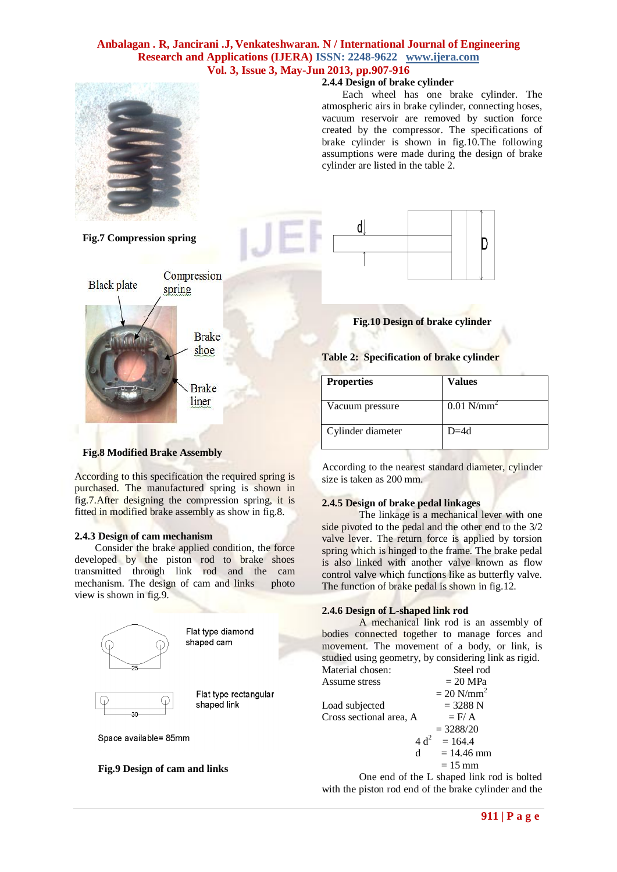

### **2.4.4 Design of brake cylinder**

 Each wheel has one brake cylinder. The atmospheric airs in brake cylinder, connecting hoses, vacuum reservoir are removed by suction force created by the compressor. The specifications of brake cylinder is shown in fig.10.The following assumptions were made during the design of brake cylinder are listed in the table 2.



## **Fig.10 Design of brake cylinder**

**Table 2: Specification of brake cylinder**

| <b>Properties</b> | Values                   |
|-------------------|--------------------------|
| Vacuum pressure   | $0.01$ N/mm <sup>2</sup> |
| Cylinder diameter | $D=4d$                   |

#### **Fig.8 Modified Brake Assembly**

According to this specification the required spring is purchased. The manufactured spring is shown in fig.7.After designing the compression spring, it is fitted in modified brake assembly as show in fig.8.

**Brake** shoe

Brake liner

#### **2.4.3 Design of cam mechanism**

Consider the brake applied condition, the force developed by the piston rod to brake shoes transmitted through link rod and the cam mechanism. The design of cam and links photo view is shown in fig.9.



## **Fig.9 Design of cam and links**

According to the nearest standard diameter, cylinder size is taken as 200 mm.

## **2.4.5 Design of brake pedal linkages**

The linkage is a mechanical lever with one side pivoted to the pedal and the other end to the 3/2 valve lever. The return force is applied by torsion spring which is hinged to the frame. The brake pedal is also linked with another valve known as flow control valve which functions like as butterfly valve. The function of brake pedal is shown in fig.12.

### **2.4.6 Design of L-shaped link rod**

A mechanical link rod is an assembly of bodies connected together to manage forces and movement. The movement of a body, or link, is studied using geometry, by considering link as rigid. Material chosen: Steel rod

Assume stress  $= 20 \text{ MPa}$  $= 20$  N/mm<sup>2</sup> Load subjected  $= 3288 \text{ N}$ Cross sectional area, A  $=$  F/ A  $= 3288/20$  $4 d<sup>2</sup> = 164.4$  $d = 14.46$  mm  $= 15$  mm

One end of the L shaped link rod is bolted with the piston rod end of the brake cylinder and the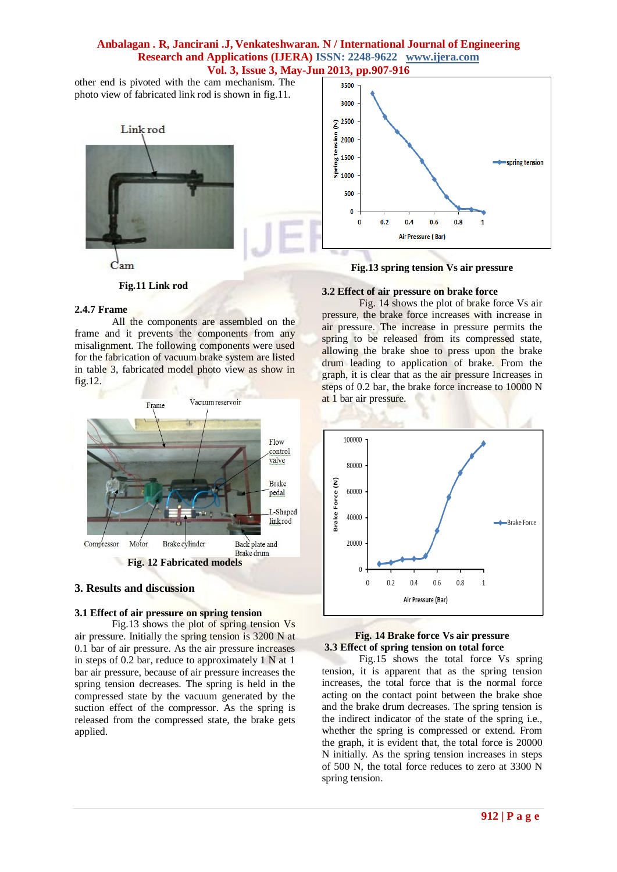3500

other end is pivoted with the cam mechanism. The photo view of fabricated link rod is shown in fig.11.



## **Fig.11 Link rod**

#### **2.4.7 Frame**

All the components are assembled on the frame and it prevents the components from any misalignment. The following components were used for the fabrication of vacuum brake system are listed in table 3, fabricated model photo view as show in fig.12.



#### **3. Results and discussion**

#### **3.1 Effect of air pressure on spring tension**

Fig.13 shows the plot of spring tension Vs air pressure. Initially the spring tension is 3200 N at 0.1 bar of air pressure. As the air pressure increases in steps of 0.2 bar, reduce to approximately 1 N at 1 bar air pressure, because of air pressure increases the spring tension decreases. The spring is held in the compressed state by the vacuum generated by the suction effect of the compressor. As the spring is released from the compressed state, the brake gets applied.

## **Fig.13 spring tension Vs air pressure**

#### **3.2 Effect of air pressure on brake force**

Fig. 14 shows the plot of brake force Vs air pressure, the brake force increases with increase in air pressure. The increase in pressure permits the spring to be released from its compressed state, allowing the brake shoe to press upon the brake drum leading to application of brake. From the graph, it is clear that as the air pressure Increases in steps of 0.2 bar, the brake force increase to 10000 N at 1 bar air pressure.



#### **Fig. 14 Brake force Vs air pressure 3.3 Effect of spring tension on total force**

Fig.15 shows the total force Vs spring tension, it is apparent that as the spring tension increases, the total force that is the normal force acting on the contact point between the brake shoe and the brake drum decreases. The spring tension is the indirect indicator of the state of the spring i.e., whether the spring is compressed or extend. From the graph, it is evident that, the total force is 20000 N initially. As the spring tension increases in steps of 500 N, the total force reduces to zero at 3300 N spring tension.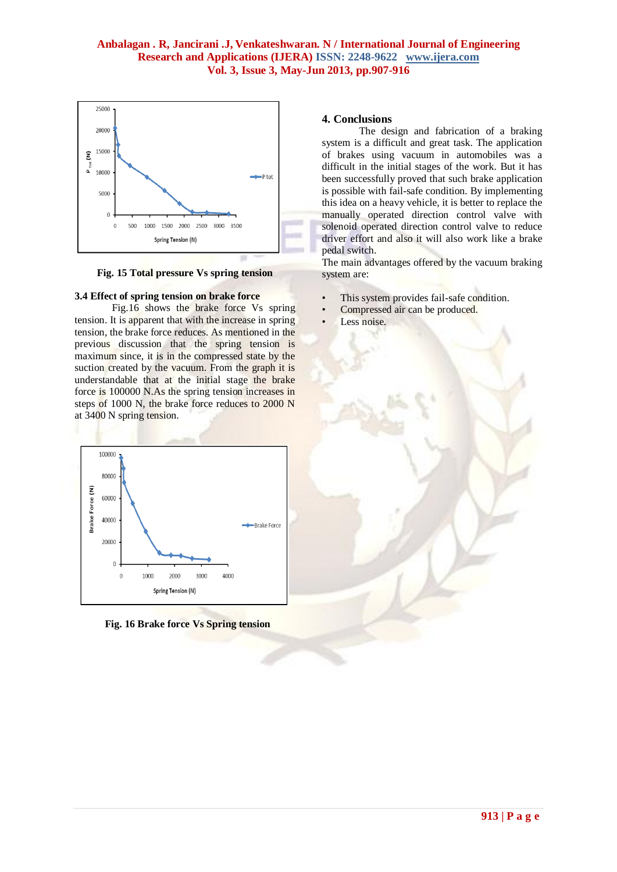

**Fig. 15 Total pressure Vs spring tension**

## **3.4 Effect of spring tension on brake force**

Fig.16 shows the brake force Vs spring tension. It is apparent that with the increase in spring tension, the brake force reduces. As mentioned in the previous discussion that the spring tension is maximum since, it is in the compressed state by the suction created by the vacuum. From the graph it is understandable that at the initial stage the brake force is 100000 N.As the spring tension increases in steps of 1000 N, the brake force reduces to 2000 N at 3400 N spring tension.



**Fig. 16 Brake force Vs Spring tension**

#### **4. Conclusions**

The design and fabrication of a braking system is a difficult and great task. The application of brakes using vacuum in automobiles was a difficult in the initial stages of the work. But it has been successfully proved that such brake application is possible with fail-safe condition. By implementing this idea on a heavy vehicle, it is better to replace the manually operated direction control valve with solenoid operated direction control valve to reduce driver effort and also it will also work like a brake pedal switch.

The main advantages offered by the vacuum braking system are:

- This system provides fail-safe condition.
- Compressed air can be produced.
- Less noise.